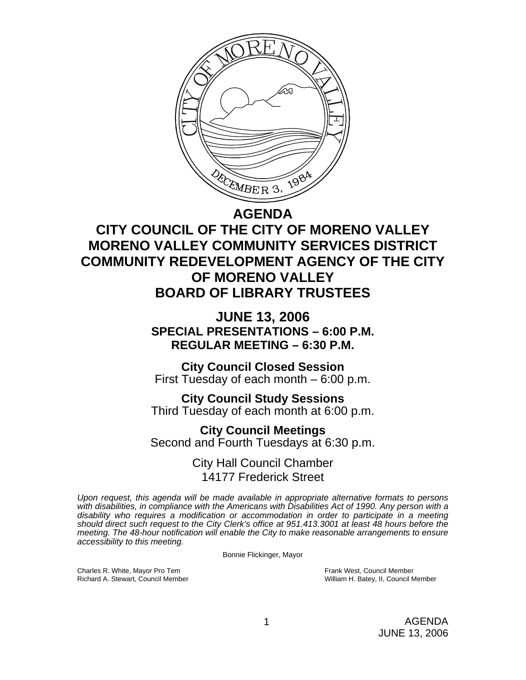

## **AGENDA**

# **CITY COUNCIL OF THE CITY OF MORENO VALLEY MORENO VALLEY COMMUNITY SERVICES DISTRICT COMMUNITY REDEVELOPMENT AGENCY OF THE CITY OF MORENO VALLEY BOARD OF LIBRARY TRUSTEES**

**JUNE 13, 2006 SPECIAL PRESENTATIONS – 6:00 P.M. REGULAR MEETING – 6:30 P.M.** 

**City Council Closed Session**  First Tuesday of each month – 6:00 p.m.

**City Council Study Sessions**  Third Tuesday of each month at 6:00 p.m. **City Council Meetings** 

Second and Fourth Tuesdays at 6:30 p.m.

City Hall Council Chamber 14177 Frederick Street

*Upon request, this agenda will be made available in appropriate alternative formats to persons with disabilities, in compliance with the Americans with Disabilities Act of 1990. Any person with a disability who requires a modification or accommodation in order to participate in a meeting should direct such request to the City Clerk's office at 951.413.3001 at least 48 hours before the meeting. The 48-hour notification will enable the City to make reasonable arrangements to ensure accessibility to this meeting.* 

Bonnie Flickinger, Mayor

Charles R. White, Mayor Pro Tem Frank West, Council Member

Richard A. Stewart, Council Member New York William H. Batey, II, Council Member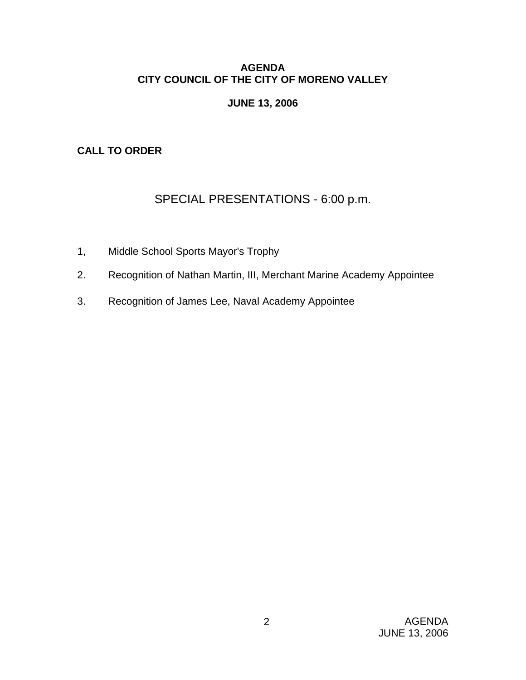## **AGENDA CITY COUNCIL OF THE CITY OF MORENO VALLEY**

# **JUNE 13, 2006**

# **CALL TO ORDER**

# SPECIAL PRESENTATIONS - 6:00 p.m.

- 1, Middle School Sports Mayor's Trophy
- 2. Recognition of Nathan Martin, III, Merchant Marine Academy Appointee
- 3. Recognition of James Lee, Naval Academy Appointee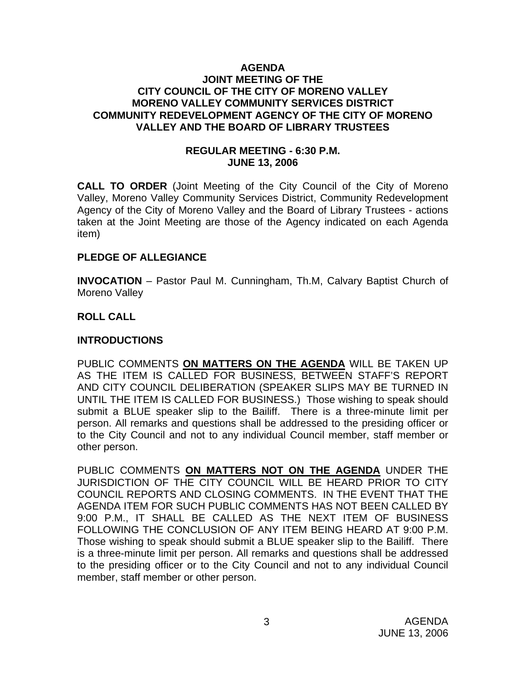## **AGENDA JOINT MEETING OF THE CITY COUNCIL OF THE CITY OF MORENO VALLEY MORENO VALLEY COMMUNITY SERVICES DISTRICT COMMUNITY REDEVELOPMENT AGENCY OF THE CITY OF MORENO VALLEY AND THE BOARD OF LIBRARY TRUSTEES**

## **REGULAR MEETING - 6:30 P.M. JUNE 13, 2006**

**CALL TO ORDER** (Joint Meeting of the City Council of the City of Moreno Valley, Moreno Valley Community Services District, Community Redevelopment Agency of the City of Moreno Valley and the Board of Library Trustees - actions taken at the Joint Meeting are those of the Agency indicated on each Agenda item)

#### **PLEDGE OF ALLEGIANCE**

**INVOCATION** – Pastor Paul M. Cunningham, Th.M, Calvary Baptist Church of Moreno Valley

## **ROLL CALL**

## **INTRODUCTIONS**

PUBLIC COMMENTS **ON MATTERS ON THE AGENDA** WILL BE TAKEN UP AS THE ITEM IS CALLED FOR BUSINESS, BETWEEN STAFF'S REPORT AND CITY COUNCIL DELIBERATION (SPEAKER SLIPS MAY BE TURNED IN UNTIL THE ITEM IS CALLED FOR BUSINESS.) Those wishing to speak should submit a BLUE speaker slip to the Bailiff. There is a three-minute limit per person. All remarks and questions shall be addressed to the presiding officer or to the City Council and not to any individual Council member, staff member or other person.

PUBLIC COMMENTS **ON MATTERS NOT ON THE AGENDA** UNDER THE JURISDICTION OF THE CITY COUNCIL WILL BE HEARD PRIOR TO CITY COUNCIL REPORTS AND CLOSING COMMENTS. IN THE EVENT THAT THE AGENDA ITEM FOR SUCH PUBLIC COMMENTS HAS NOT BEEN CALLED BY 9:00 P.M., IT SHALL BE CALLED AS THE NEXT ITEM OF BUSINESS FOLLOWING THE CONCLUSION OF ANY ITEM BEING HEARD AT 9:00 P.M. Those wishing to speak should submit a BLUE speaker slip to the Bailiff. There is a three-minute limit per person. All remarks and questions shall be addressed to the presiding officer or to the City Council and not to any individual Council member, staff member or other person.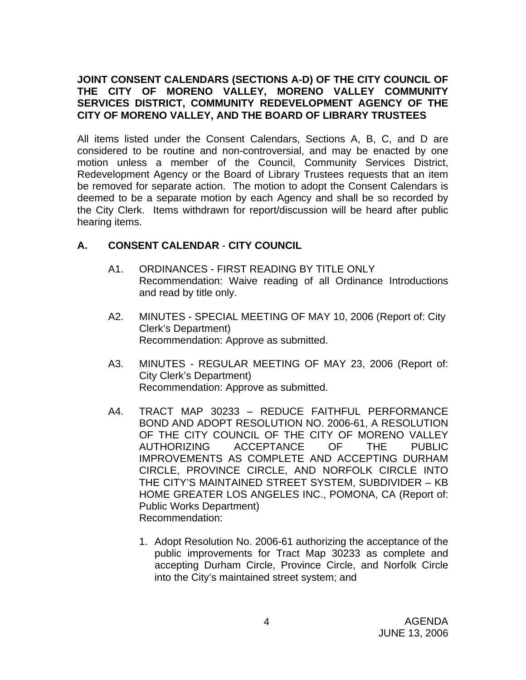## **JOINT CONSENT CALENDARS (SECTIONS A-D) OF THE CITY COUNCIL OF THE CITY OF MORENO VALLEY, MORENO VALLEY COMMUNITY SERVICES DISTRICT, COMMUNITY REDEVELOPMENT AGENCY OF THE CITY OF MORENO VALLEY, AND THE BOARD OF LIBRARY TRUSTEES**

All items listed under the Consent Calendars, Sections A, B, C, and D are considered to be routine and non-controversial, and may be enacted by one motion unless a member of the Council, Community Services District, Redevelopment Agency or the Board of Library Trustees requests that an item be removed for separate action. The motion to adopt the Consent Calendars is deemed to be a separate motion by each Agency and shall be so recorded by the City Clerk. Items withdrawn for report/discussion will be heard after public hearing items.

# **A. CONSENT CALENDAR** - **CITY COUNCIL**

- A1. ORDINANCES FIRST READING BY TITLE ONLY Recommendation: Waive reading of all Ordinance Introductions and read by title only.
- A2. MINUTES SPECIAL MEETING OF MAY 10, 2006 (Report of: City Clerk's Department) Recommendation: Approve as submitted.
- A3. MINUTES REGULAR MEETING OF MAY 23, 2006 (Report of: City Clerk's Department) Recommendation: Approve as submitted.
- A4. TRACT MAP 30233 REDUCE FAITHFUL PERFORMANCE BOND AND ADOPT RESOLUTION NO. 2006-61, A RESOLUTION OF THE CITY COUNCIL OF THE CITY OF MORENO VALLEY AUTHORIZING ACCEPTANCE OF THE PUBLIC IMPROVEMENTS AS COMPLETE AND ACCEPTING DURHAM CIRCLE, PROVINCE CIRCLE, AND NORFOLK CIRCLE INTO THE CITY'S MAINTAINED STREET SYSTEM, SUBDIVIDER – KB HOME GREATER LOS ANGELES INC., POMONA, CA (Report of: Public Works Department) Recommendation:
	- 1. Adopt Resolution No. 2006-61 authorizing the acceptance of the public improvements for Tract Map 30233 as complete and accepting Durham Circle, Province Circle, and Norfolk Circle into the City's maintained street system; and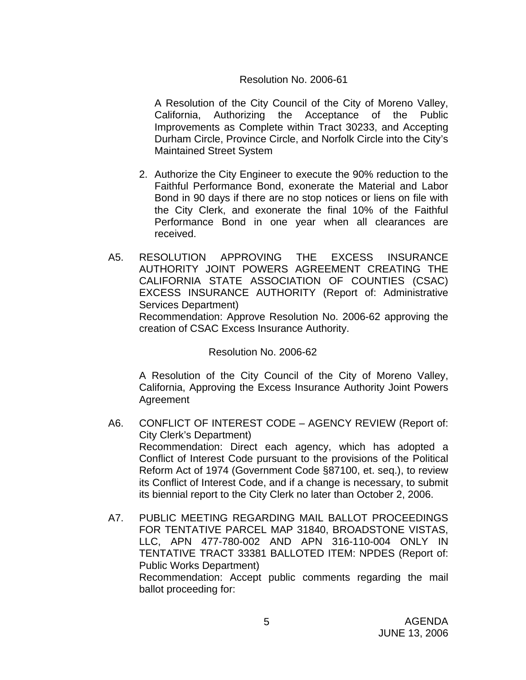## Resolution No. 2006-61

 A Resolution of the City Council of the City of Moreno Valley, California, Authorizing the Acceptance of the Public Improvements as Complete within Tract 30233, and Accepting Durham Circle, Province Circle, and Norfolk Circle into the City's Maintained Street System

- 2. Authorize the City Engineer to execute the 90% reduction to the Faithful Performance Bond, exonerate the Material and Labor Bond in 90 days if there are no stop notices or liens on file with the City Clerk, and exonerate the final 10% of the Faithful Performance Bond in one year when all clearances are received.
- A5. RESOLUTION APPROVING THE EXCESS INSURANCE AUTHORITY JOINT POWERS AGREEMENT CREATING THE CALIFORNIA STATE ASSOCIATION OF COUNTIES (CSAC) EXCESS INSURANCE AUTHORITY (Report of: Administrative Services Department) Recommendation: Approve Resolution No. 2006-62 approving the creation of CSAC Excess Insurance Authority.

Resolution No. 2006-62

A Resolution of the City Council of the City of Moreno Valley, California, Approving the Excess Insurance Authority Joint Powers Agreement

- A6. CONFLICT OF INTEREST CODE AGENCY REVIEW (Report of: City Clerk's Department) Recommendation: Direct each agency, which has adopted a Conflict of Interest Code pursuant to the provisions of the Political Reform Act of 1974 (Government Code §87100, et. seq.), to review its Conflict of Interest Code, and if a change is necessary, to submit its biennial report to the City Clerk no later than October 2, 2006.
- A7. PUBLIC MEETING REGARDING MAIL BALLOT PROCEEDINGS FOR TENTATIVE PARCEL MAP 31840, BROADSTONE VISTAS, LLC, APN 477-780-002 AND APN 316-110-004 ONLY IN TENTATIVE TRACT 33381 BALLOTED ITEM: NPDES (Report of: Public Works Department) Recommendation: Accept public comments regarding the mail ballot proceeding for: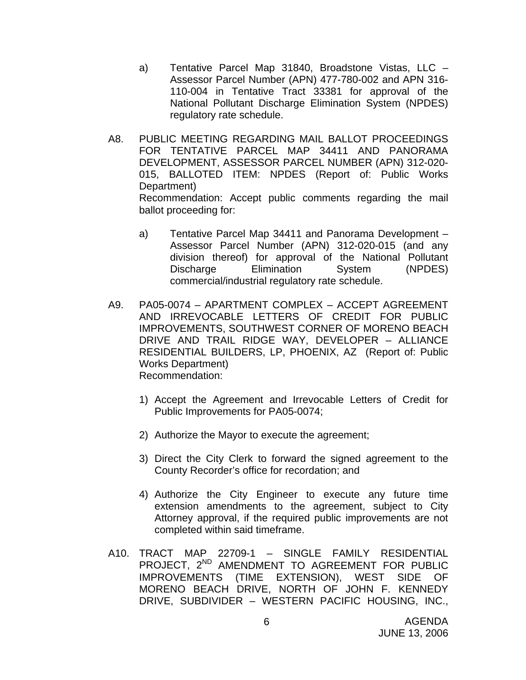- a) Tentative Parcel Map 31840, Broadstone Vistas, LLC Assessor Parcel Number (APN) 477-780-002 and APN 316- 110-004 in Tentative Tract 33381 for approval of the National Pollutant Discharge Elimination System (NPDES) regulatory rate schedule.
- A8. PUBLIC MEETING REGARDING MAIL BALLOT PROCEEDINGS FOR TENTATIVE PARCEL MAP 34411 AND PANORAMA DEVELOPMENT, ASSESSOR PARCEL NUMBER (APN) 312-020- 015, BALLOTED ITEM: NPDES (Report of: Public Works Department) Recommendation: Accept public comments regarding the mail ballot proceeding for:
	- a) Tentative Parcel Map 34411 and Panorama Development Assessor Parcel Number (APN) 312-020-015 (and any division thereof) for approval of the National Pollutant Discharge Elimination System (NPDES) commercial/industrial regulatory rate schedule.
- A9. PA05-0074 APARTMENT COMPLEX ACCEPT AGREEMENT AND IRREVOCABLE LETTERS OF CREDIT FOR PUBLIC IMPROVEMENTS, SOUTHWEST CORNER OF MORENO BEACH DRIVE AND TRAIL RIDGE WAY, DEVELOPER – ALLIANCE RESIDENTIAL BUILDERS, LP, PHOENIX, AZ (Report of: Public Works Department) Recommendation:
	- 1) Accept the Agreement and Irrevocable Letters of Credit for Public Improvements for PA05-0074;
	- 2) Authorize the Mayor to execute the agreement;
	- 3) Direct the City Clerk to forward the signed agreement to the County Recorder's office for recordation; and
	- 4) Authorize the City Engineer to execute any future time extension amendments to the agreement, subject to City Attorney approval, if the required public improvements are not completed within said timeframe.
- A10. TRACT MAP 22709-1 SINGLE FAMILY RESIDENTIAL PROJECT, 2<sup>ND</sup> AMENDMENT TO AGREEMENT FOR PUBLIC IMPROVEMENTS (TIME EXTENSION), WEST SIDE OF MORENO BEACH DRIVE, NORTH OF JOHN F. KENNEDY DRIVE, SUBDIVIDER – WESTERN PACIFIC HOUSING, INC.,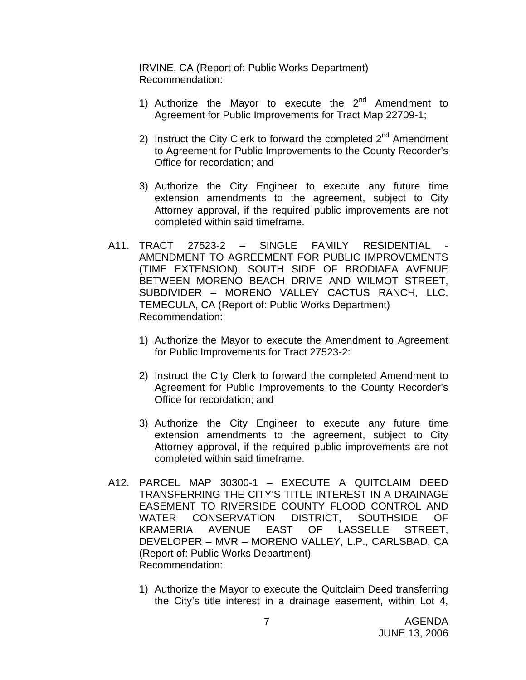IRVINE, CA (Report of: Public Works Department) Recommendation:

- 1) Authorize the Mayor to execute the  $2^{nd}$  Amendment to Agreement for Public Improvements for Tract Map 22709-1;
- 2) Instruct the City Clerk to forward the completed  $2<sup>nd</sup>$  Amendment to Agreement for Public Improvements to the County Recorder's Office for recordation; and
- 3) Authorize the City Engineer to execute any future time extension amendments to the agreement, subject to City Attorney approval, if the required public improvements are not completed within said timeframe.
- A11. TRACT 27523-2 SINGLE FAMILY RESIDENTIAL AMENDMENT TO AGREEMENT FOR PUBLIC IMPROVEMENTS (TIME EXTENSION), SOUTH SIDE OF BRODIAEA AVENUE BETWEEN MORENO BEACH DRIVE AND WILMOT STREET, SUBDIVIDER – MORENO VALLEY CACTUS RANCH, LLC, TEMECULA, CA (Report of: Public Works Department) Recommendation:
	- 1) Authorize the Mayor to execute the Amendment to Agreement for Public Improvements for Tract 27523-2:
	- 2) Instruct the City Clerk to forward the completed Amendment to Agreement for Public Improvements to the County Recorder's Office for recordation; and
	- 3) Authorize the City Engineer to execute any future time extension amendments to the agreement, subject to City Attorney approval, if the required public improvements are not completed within said timeframe.
- A12. PARCEL MAP 30300-1 EXECUTE A QUITCLAIM DEED TRANSFERRING THE CITY'S TITLE INTEREST IN A DRAINAGE EASEMENT TO RIVERSIDE COUNTY FLOOD CONTROL AND WATER CONSERVATION DISTRICT, SOUTHSIDE OF KRAMERIA AVENUE EAST OF LASSELLE STREET, DEVELOPER – MVR – MORENO VALLEY, L.P., CARLSBAD, CA (Report of: Public Works Department) Recommendation:
	- 1) Authorize the Mayor to execute the Quitclaim Deed transferring the City's title interest in a drainage easement, within Lot 4,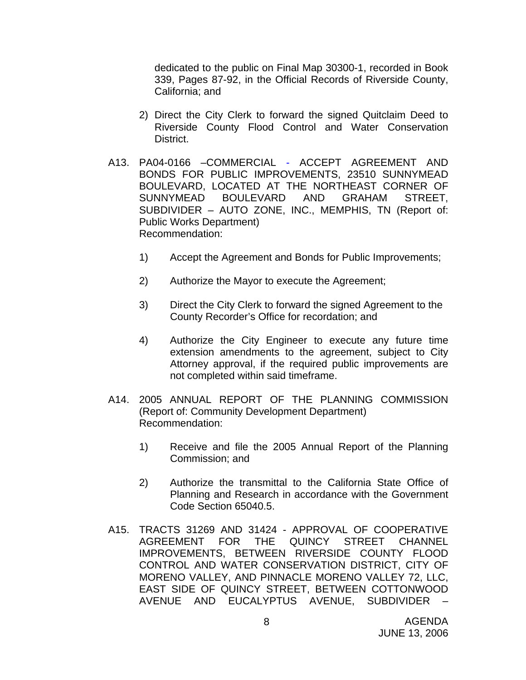dedicated to the public on Final Map 30300-1, recorded in Book 339, Pages 87-92, in the Official Records of Riverside County, California; and

- 2) Direct the City Clerk to forward the signed Quitclaim Deed to Riverside County Flood Control and Water Conservation District.
- A13. PA04-0166 –COMMERCIAL ACCEPT AGREEMENT AND BONDS FOR PUBLIC IMPROVEMENTS, 23510 SUNNYMEAD BOULEVARD, LOCATED AT THE NORTHEAST CORNER OF SUNNYMEAD BOULEVARD AND GRAHAM STREET, SUBDIVIDER – AUTO ZONE, INC., MEMPHIS, TN (Report of: Public Works Department) Recommendation:
	- 1) Accept the Agreement and Bonds for Public Improvements;
	- 2) Authorize the Mayor to execute the Agreement;
	- 3) Direct the City Clerk to forward the signed Agreement to the County Recorder's Office for recordation; and
	- 4) Authorize the City Engineer to execute any future time extension amendments to the agreement, subject to City Attorney approval, if the required public improvements are not completed within said timeframe.
- A14. 2005 ANNUAL REPORT OF THE PLANNING COMMISSION (Report of: Community Development Department) Recommendation:
	- 1) Receive and file the 2005 Annual Report of the Planning Commission; and
	- 2) Authorize the transmittal to the California State Office of Planning and Research in accordance with the Government Code Section 65040.5.
- A15. TRACTS 31269 AND 31424 APPROVAL OF COOPERATIVE AGREEMENT FOR THE QUINCY STREET CHANNEL IMPROVEMENTS, BETWEEN RIVERSIDE COUNTY FLOOD CONTROL AND WATER CONSERVATION DISTRICT, CITY OF MORENO VALLEY, AND PINNACLE MORENO VALLEY 72, LLC, EAST SIDE OF QUINCY STREET, BETWEEN COTTONWOOD AVENUE AND EUCALYPTUS AVENUE, SUBDIVIDER –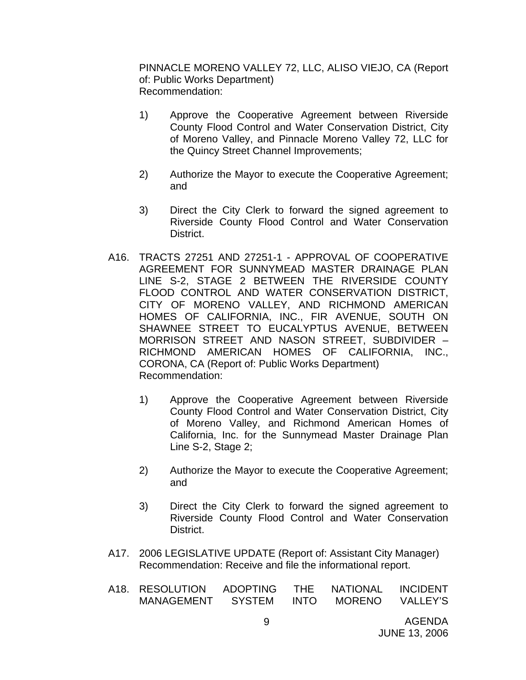PINNACLE MORENO VALLEY 72, LLC, ALISO VIEJO, CA (Report of: Public Works Department) Recommendation:

- 1) Approve the Cooperative Agreement between Riverside County Flood Control and Water Conservation District, City of Moreno Valley, and Pinnacle Moreno Valley 72, LLC for the Quincy Street Channel Improvements;
- 2) Authorize the Mayor to execute the Cooperative Agreement; and
- 3) Direct the City Clerk to forward the signed agreement to Riverside County Flood Control and Water Conservation District.
- A16. TRACTS 27251 AND 27251-1 APPROVAL OF COOPERATIVE AGREEMENT FOR SUNNYMEAD MASTER DRAINAGE PLAN LINE S-2, STAGE 2 BETWEEN THE RIVERSIDE COUNTY FLOOD CONTROL AND WATER CONSERVATION DISTRICT, CITY OF MORENO VALLEY, AND RICHMOND AMERICAN HOMES OF CALIFORNIA, INC., FIR AVENUE, SOUTH ON SHAWNEE STREET TO EUCALYPTUS AVENUE, BETWEEN MORRISON STREET AND NASON STREET, SUBDIVIDER – RICHMOND AMERICAN HOMES OF CALIFORNIA, INC., CORONA, CA (Report of: Public Works Department) Recommendation:
	- 1) Approve the Cooperative Agreement between Riverside County Flood Control and Water Conservation District, City of Moreno Valley, and Richmond American Homes of California, Inc. for the Sunnymead Master Drainage Plan Line S-2, Stage 2;
	- 2) Authorize the Mayor to execute the Cooperative Agreement; and
	- 3) Direct the City Clerk to forward the signed agreement to Riverside County Flood Control and Water Conservation District.
- A17. 2006 LEGISLATIVE UPDATE (Report of: Assistant City Manager) Recommendation: Receive and file the informational report.
- A18. RESOLUTION ADOPTING THE NATIONAL INCIDENT MANAGEMENT SYSTEM INTO MORENO VALLEY'S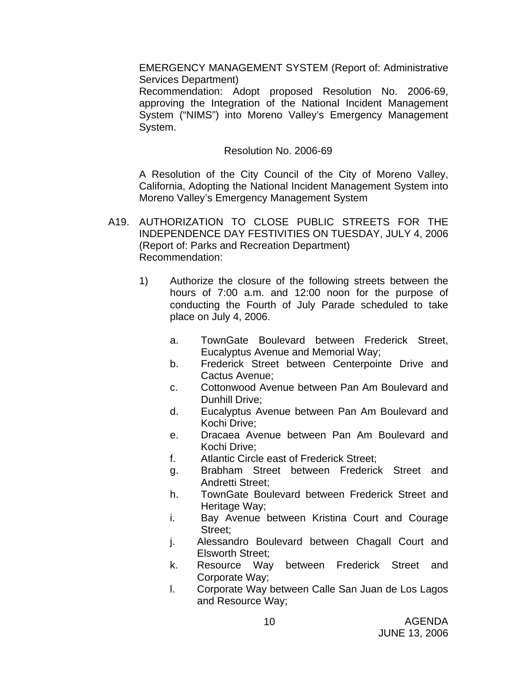EMERGENCY MANAGEMENT SYSTEM (Report of: Administrative Services Department)

 Recommendation: Adopt proposed Resolution No. 2006-69, approving the Integration of the National Incident Management System ("NIMS") into Moreno Valley's Emergency Management System.

## Resolution No. 2006-69

 A Resolution of the City Council of the City of Moreno Valley, California, Adopting the National Incident Management System into Moreno Valley's Emergency Management System

- A19. AUTHORIZATION TO CLOSE PUBLIC STREETS FOR THE INDEPENDENCE DAY FESTIVITIES ON TUESDAY, JULY 4, 2006 (Report of: Parks and Recreation Department) Recommendation:
	- 1) Authorize the closure of the following streets between the hours of 7:00 a.m. and 12:00 noon for the purpose of conducting the Fourth of July Parade scheduled to take place on July 4, 2006.
		- a. TownGate Boulevard between Frederick Street, Eucalyptus Avenue and Memorial Way;
		- b. Frederick Street between Centerpointe Drive and Cactus Avenue;
		- c. Cottonwood Avenue between Pan Am Boulevard and Dunhill Drive;
		- d. Eucalyptus Avenue between Pan Am Boulevard and Kochi Drive;
		- e. Dracaea Avenue between Pan Am Boulevard and Kochi Drive;
		- f. Atlantic Circle east of Frederick Street;
		- g. Brabham Street between Frederick Street and Andretti Street;
		- h. TownGate Boulevard between Frederick Street and Heritage Way;
		- i. Bay Avenue between Kristina Court and Courage Street;
		- j. Alessandro Boulevard between Chagall Court and Elsworth Street;
		- k. Resource Way between Frederick Street and Corporate Way;
		- l. Corporate Way between Calle San Juan de Los Lagos and Resource Way;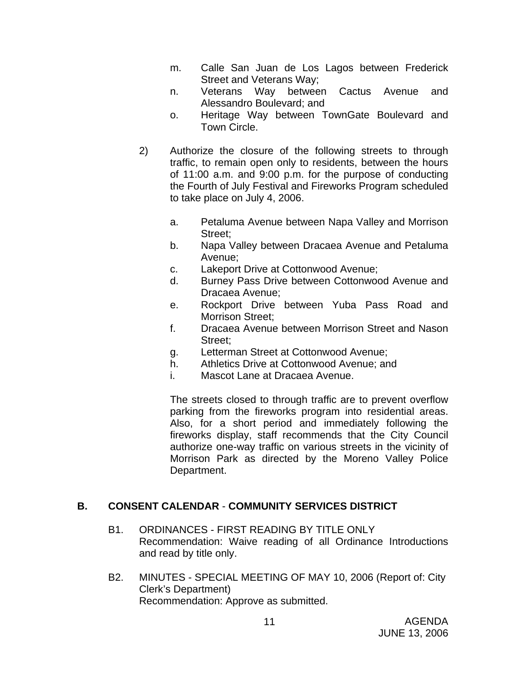- m. Calle San Juan de Los Lagos between Frederick Street and Veterans Way;
- n. Veterans Way between Cactus Avenue and Alessandro Boulevard; and
- o. Heritage Way between TownGate Boulevard and Town Circle.
- 2) Authorize the closure of the following streets to through traffic, to remain open only to residents, between the hours of 11:00 a.m. and 9:00 p.m. for the purpose of conducting the Fourth of July Festival and Fireworks Program scheduled to take place on July 4, 2006.
	- a. Petaluma Avenue between Napa Valley and Morrison Street;
	- b. Napa Valley between Dracaea Avenue and Petaluma Avenue;
	- c. Lakeport Drive at Cottonwood Avenue;
	- d. Burney Pass Drive between Cottonwood Avenue and Dracaea Avenue;
	- e. Rockport Drive between Yuba Pass Road and Morrison Street;
	- f. Dracaea Avenue between Morrison Street and Nason Street;
	- g. Letterman Street at Cottonwood Avenue;
	- h. Athletics Drive at Cottonwood Avenue; and
	- i. Mascot Lane at Dracaea Avenue.

The streets closed to through traffic are to prevent overflow parking from the fireworks program into residential areas. Also, for a short period and immediately following the fireworks display, staff recommends that the City Council authorize one-way traffic on various streets in the vicinity of Morrison Park as directed by the Moreno Valley Police Department.

# **B. CONSENT CALENDAR** - **COMMUNITY SERVICES DISTRICT**

- B1. ORDINANCES FIRST READING BY TITLE ONLY Recommendation: Waive reading of all Ordinance Introductions and read by title only.
- B2. MINUTES SPECIAL MEETING OF MAY 10, 2006 (Report of: City Clerk's Department) Recommendation: Approve as submitted.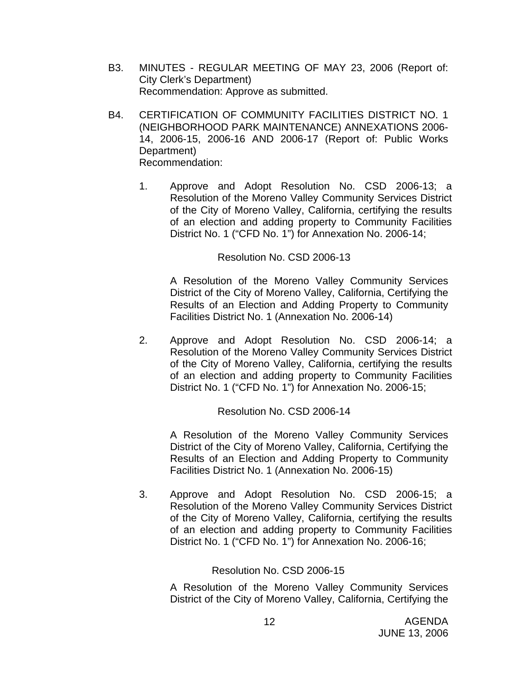- B3. MINUTES REGULAR MEETING OF MAY 23, 2006 (Report of: City Clerk's Department) Recommendation: Approve as submitted.
- B4. CERTIFICATION OF COMMUNITY FACILITIES DISTRICT NO. 1 (NEIGHBORHOOD PARK MAINTENANCE) ANNEXATIONS 2006- 14, 2006-15, 2006-16 AND 2006-17 (Report of: Public Works Department) Recommendation:
	- 1. Approve and Adopt Resolution No. CSD 2006-13; a Resolution of the Moreno Valley Community Services District of the City of Moreno Valley, California, certifying the results of an election and adding property to Community Facilities District No. 1 ("CFD No. 1") for Annexation No. 2006-14;

#### Resolution No. CSD 2006-13

A Resolution of the Moreno Valley Community Services District of the City of Moreno Valley, California, Certifying the Results of an Election and Adding Property to Community Facilities District No. 1 (Annexation No. 2006-14)

2. Approve and Adopt Resolution No. CSD 2006-14; a Resolution of the Moreno Valley Community Services District of the City of Moreno Valley, California, certifying the results of an election and adding property to Community Facilities District No. 1 ("CFD No. 1") for Annexation No. 2006-15;

#### Resolution No. CSD 2006-14

A Resolution of the Moreno Valley Community Services District of the City of Moreno Valley, California, Certifying the Results of an Election and Adding Property to Community Facilities District No. 1 (Annexation No. 2006-15)

3. Approve and Adopt Resolution No. CSD 2006-15; a Resolution of the Moreno Valley Community Services District of the City of Moreno Valley, California, certifying the results of an election and adding property to Community Facilities District No. 1 ("CFD No. 1") for Annexation No. 2006-16;

#### Resolution No. CSD 2006-15

A Resolution of the Moreno Valley Community Services District of the City of Moreno Valley, California, Certifying the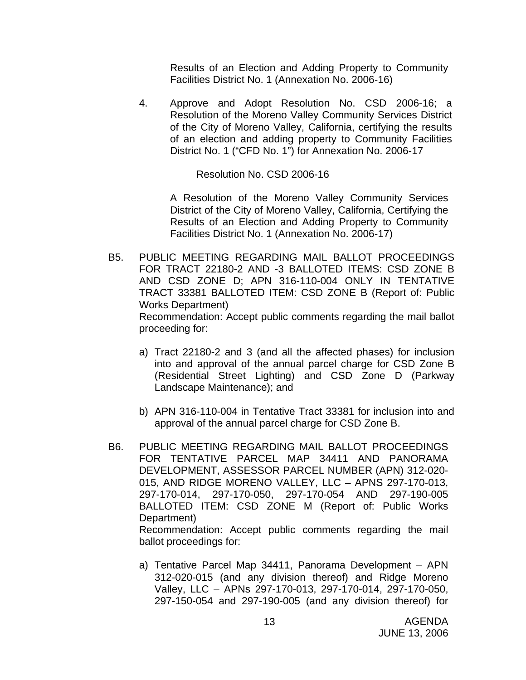Results of an Election and Adding Property to Community Facilities District No. 1 (Annexation No. 2006-16)

4. Approve and Adopt Resolution No. CSD 2006-16; a Resolution of the Moreno Valley Community Services District of the City of Moreno Valley, California, certifying the results of an election and adding property to Community Facilities District No. 1 ("CFD No. 1") for Annexation No. 2006-17

Resolution No. CSD 2006-16

 A Resolution of the Moreno Valley Community Services District of the City of Moreno Valley, California, Certifying the Results of an Election and Adding Property to Community Facilities District No. 1 (Annexation No. 2006-17)

- B5. PUBLIC MEETING REGARDING MAIL BALLOT PROCEEDINGS FOR TRACT 22180-2 AND -3 BALLOTED ITEMS: CSD ZONE B AND CSD ZONE D; APN 316-110-004 ONLY IN TENTATIVE TRACT 33381 BALLOTED ITEM: CSD ZONE B (Report of: Public Works Department) Recommendation: Accept public comments regarding the mail ballot proceeding for:
	- a) Tract 22180-2 and 3 (and all the affected phases) for inclusion into and approval of the annual parcel charge for CSD Zone B (Residential Street Lighting) and CSD Zone D (Parkway Landscape Maintenance); and
	- b) APN 316-110-004 in Tentative Tract 33381 for inclusion into and approval of the annual parcel charge for CSD Zone B.
- B6. PUBLIC MEETING REGARDING MAIL BALLOT PROCEEDINGS FOR TENTATIVE PARCEL MAP 34411 AND PANORAMA DEVELOPMENT, ASSESSOR PARCEL NUMBER (APN) 312-020- 015, AND RIDGE MORENO VALLEY, LLC – APNS 297-170-013, 297-170-014, 297-170-050, 297-170-054 AND 297-190-005 BALLOTED ITEM: CSD ZONE M (Report of: Public Works Department) Recommendation: Accept public comments regarding the mail ballot proceedings for:
	- a) Tentative Parcel Map 34411, Panorama Development APN 312-020-015 (and any division thereof) and Ridge Moreno Valley, LLC – APNs 297-170-013, 297-170-014, 297-170-050, 297-150-054 and 297-190-005 (and any division thereof) for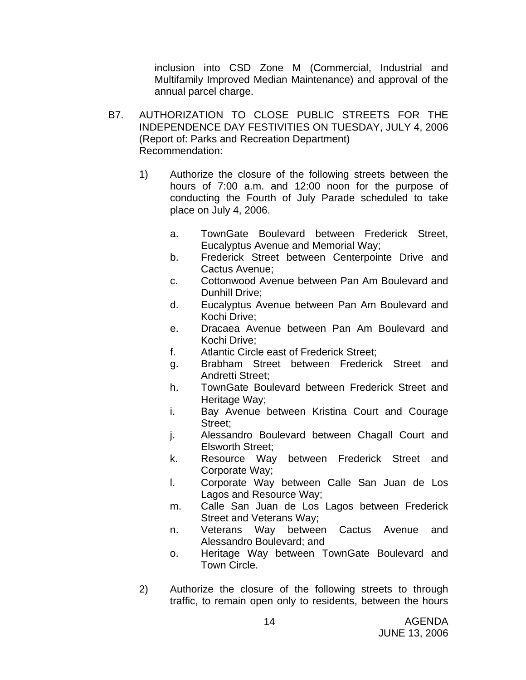inclusion into CSD Zone M (Commercial, Industrial and Multifamily Improved Median Maintenance) and approval of the annual parcel charge.

- B7. AUTHORIZATION TO CLOSE PUBLIC STREETS FOR THE INDEPENDENCE DAY FESTIVITIES ON TUESDAY, JULY 4, 2006 (Report of: Parks and Recreation Department) Recommendation:
	- 1) Authorize the closure of the following streets between the hours of 7:00 a.m. and 12:00 noon for the purpose of conducting the Fourth of July Parade scheduled to take place on July 4, 2006.
		- a. TownGate Boulevard between Frederick Street, Eucalyptus Avenue and Memorial Way;
		- b. Frederick Street between Centerpointe Drive and Cactus Avenue;
		- c. Cottonwood Avenue between Pan Am Boulevard and Dunhill Drive;
		- d. Eucalyptus Avenue between Pan Am Boulevard and Kochi Drive;
		- e. Dracaea Avenue between Pan Am Boulevard and Kochi Drive;
		- f. Atlantic Circle east of Frederick Street;
		- g. Brabham Street between Frederick Street and Andretti Street;
		- h. TownGate Boulevard between Frederick Street and Heritage Way;
		- i. Bay Avenue between Kristina Court and Courage Street;
		- j. Alessandro Boulevard between Chagall Court and Elsworth Street;
		- k. Resource Way between Frederick Street and Corporate Way;
		- l. Corporate Way between Calle San Juan de Los Lagos and Resource Way;
		- m. Calle San Juan de Los Lagos between Frederick Street and Veterans Way;
		- n. Veterans Way between Cactus Avenue and Alessandro Boulevard; and
		- o. Heritage Way between TownGate Boulevard and Town Circle.
	- 2) Authorize the closure of the following streets to through traffic, to remain open only to residents, between the hours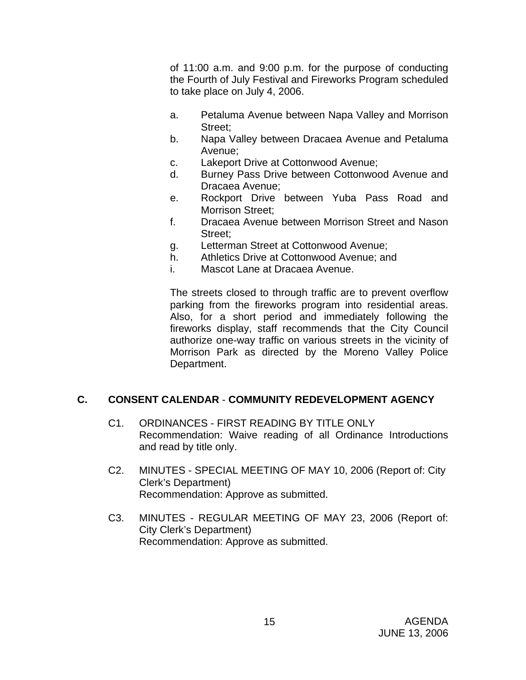of 11:00 a.m. and 9:00 p.m. for the purpose of conducting the Fourth of July Festival and Fireworks Program scheduled to take place on July 4, 2006.

- a. Petaluma Avenue between Napa Valley and Morrison Street:
- b. Napa Valley between Dracaea Avenue and Petaluma Avenue;
- c. Lakeport Drive at Cottonwood Avenue;
- d. Burney Pass Drive between Cottonwood Avenue and Dracaea Avenue;
- e. Rockport Drive between Yuba Pass Road and Morrison Street;
- f. Dracaea Avenue between Morrison Street and Nason Street:
- g. Letterman Street at Cottonwood Avenue;
- h. Athletics Drive at Cottonwood Avenue; and
- i. Mascot Lane at Dracaea Avenue.

The streets closed to through traffic are to prevent overflow parking from the fireworks program into residential areas. Also, for a short period and immediately following the fireworks display, staff recommends that the City Council authorize one-way traffic on various streets in the vicinity of Morrison Park as directed by the Moreno Valley Police Department.

# **C. CONSENT CALENDAR** - **COMMUNITY REDEVELOPMENT AGENCY**

- C1. ORDINANCES FIRST READING BY TITLE ONLY Recommendation: Waive reading of all Ordinance Introductions and read by title only.
- C2. MINUTES SPECIAL MEETING OF MAY 10, 2006 (Report of: City Clerk's Department) Recommendation: Approve as submitted.
- C3. MINUTES REGULAR MEETING OF MAY 23, 2006 (Report of: City Clerk's Department) Recommendation: Approve as submitted.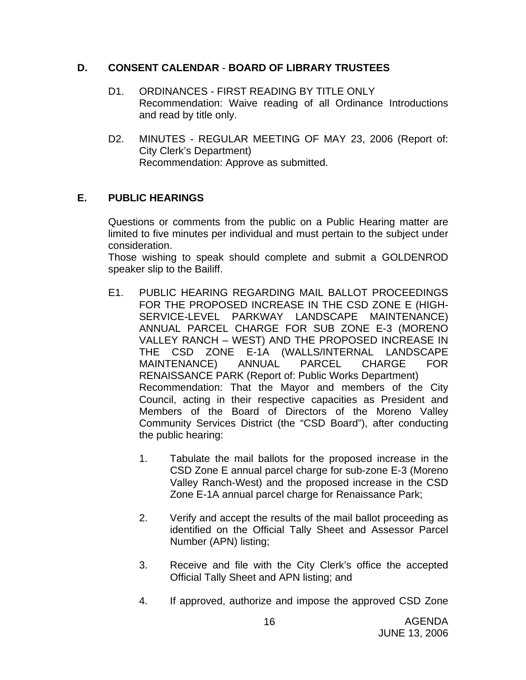## **D. CONSENT CALENDAR** - **BOARD OF LIBRARY TRUSTEES**

- D1. ORDINANCES FIRST READING BY TITLE ONLY Recommendation: Waive reading of all Ordinance Introductions and read by title only.
- D2. MINUTES REGULAR MEETING OF MAY 23, 2006 (Report of: City Clerk's Department) Recommendation: Approve as submitted.

# **E. PUBLIC HEARINGS**

Questions or comments from the public on a Public Hearing matter are limited to five minutes per individual and must pertain to the subject under consideration.

 Those wishing to speak should complete and submit a GOLDENROD speaker slip to the Bailiff.

- E1. PUBLIC HEARING REGARDING MAIL BALLOT PROCEEDINGS FOR THE PROPOSED INCREASE IN THE CSD ZONE E (HIGH-SERVICE-LEVEL PARKWAY LANDSCAPE MAINTENANCE) ANNUAL PARCEL CHARGE FOR SUB ZONE E-3 (MORENO VALLEY RANCH – WEST) AND THE PROPOSED INCREASE IN THE CSD ZONE E-1A (WALLS/INTERNAL LANDSCAPE MAINTENANCE) ANNUAL PARCEL CHARGE FOR RENAISSANCE PARK (Report of: Public Works Department) Recommendation: That the Mayor and members of the City Council, acting in their respective capacities as President and Members of the Board of Directors of the Moreno Valley Community Services District (the "CSD Board"), after conducting the public hearing:
	- 1. Tabulate the mail ballots for the proposed increase in the CSD Zone E annual parcel charge for sub-zone E-3 (Moreno Valley Ranch-West) and the proposed increase in the CSD Zone E-1A annual parcel charge for Renaissance Park;
	- 2. Verify and accept the results of the mail ballot proceeding as identified on the Official Tally Sheet and Assessor Parcel Number (APN) listing;
	- 3. Receive and file with the City Clerk's office the accepted Official Tally Sheet and APN listing; and
	- 4. If approved, authorize and impose the approved CSD Zone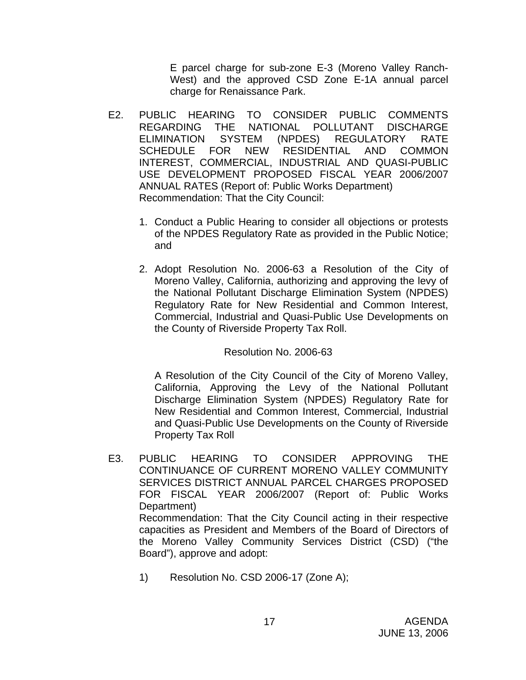E parcel charge for sub-zone E-3 (Moreno Valley Ranch-West) and the approved CSD Zone E-1A annual parcel charge for Renaissance Park.

- E2. PUBLIC HEARING TO CONSIDER PUBLIC COMMENTS REGARDING THE NATIONAL POLLUTANT DISCHARGE ELIMINATION SYSTEM (NPDES) REGULATORY RATE SCHEDULE FOR NEW RESIDENTIAL AND COMMON INTEREST, COMMERCIAL, INDUSTRIAL AND QUASI-PUBLIC USE DEVELOPMENT PROPOSED FISCAL YEAR 2006/2007 ANNUAL RATES (Report of: Public Works Department) Recommendation: That the City Council:
	- 1. Conduct a Public Hearing to consider all objections or protests of the NPDES Regulatory Rate as provided in the Public Notice; and
	- 2. Adopt Resolution No. 2006-63 a Resolution of the City of Moreno Valley, California, authorizing and approving the levy of the National Pollutant Discharge Elimination System (NPDES) Regulatory Rate for New Residential and Common Interest, Commercial, Industrial and Quasi-Public Use Developments on the County of Riverside Property Tax Roll.

## Resolution No. 2006-63

A Resolution of the City Council of the City of Moreno Valley, California, Approving the Levy of the National Pollutant Discharge Elimination System (NPDES) Regulatory Rate for New Residential and Common Interest, Commercial, Industrial and Quasi-Public Use Developments on the County of Riverside Property Tax Roll

- E3. PUBLIC HEARING TO CONSIDER APPROVING THE CONTINUANCE OF CURRENT MORENO VALLEY COMMUNITY SERVICES DISTRICT ANNUAL PARCEL CHARGES PROPOSED FOR FISCAL YEAR 2006/2007 (Report of: Public Works Department) Recommendation: That the City Council acting in their respective capacities as President and Members of the Board of Directors of the Moreno Valley Community Services District (CSD) ("the Board"), approve and adopt:
	- 1) Resolution No. CSD 2006-17 (Zone A);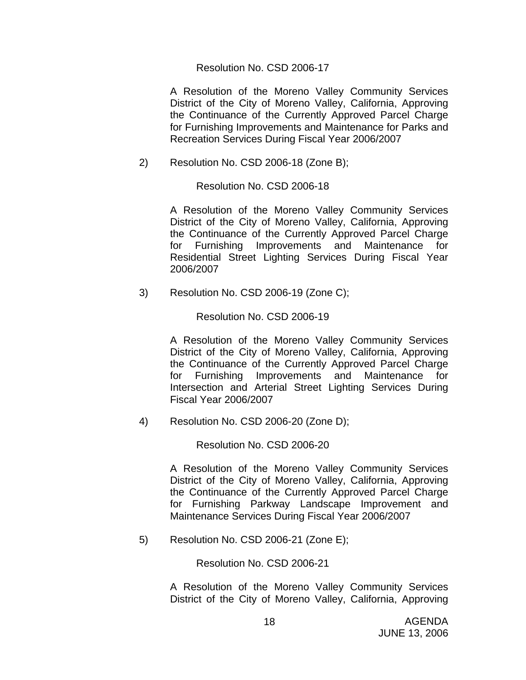#### Resolution No. CSD 2006-17

 A Resolution of the Moreno Valley Community Services District of the City of Moreno Valley, California, Approving the Continuance of the Currently Approved Parcel Charge for Furnishing Improvements and Maintenance for Parks and Recreation Services During Fiscal Year 2006/2007

2) Resolution No. CSD 2006-18 (Zone B);

Resolution No. CSD 2006-18

 A Resolution of the Moreno Valley Community Services District of the City of Moreno Valley, California, Approving the Continuance of the Currently Approved Parcel Charge for Furnishing Improvements and Maintenance for Residential Street Lighting Services During Fiscal Year 2006/2007

3) Resolution No. CSD 2006-19 (Zone C);

Resolution No. CSD 2006-19

A Resolution of the Moreno Valley Community Services District of the City of Moreno Valley, California, Approving the Continuance of the Currently Approved Parcel Charge for Furnishing Improvements and Maintenance for Intersection and Arterial Street Lighting Services During Fiscal Year 2006/2007

4) Resolution No. CSD 2006-20 (Zone D);

Resolution No. CSD 2006-20

A Resolution of the Moreno Valley Community Services District of the City of Moreno Valley, California, Approving the Continuance of the Currently Approved Parcel Charge for Furnishing Parkway Landscape Improvement and Maintenance Services During Fiscal Year 2006/2007

5) Resolution No. CSD 2006-21 (Zone E);

Resolution No. CSD 2006-21

A Resolution of the Moreno Valley Community Services District of the City of Moreno Valley, California, Approving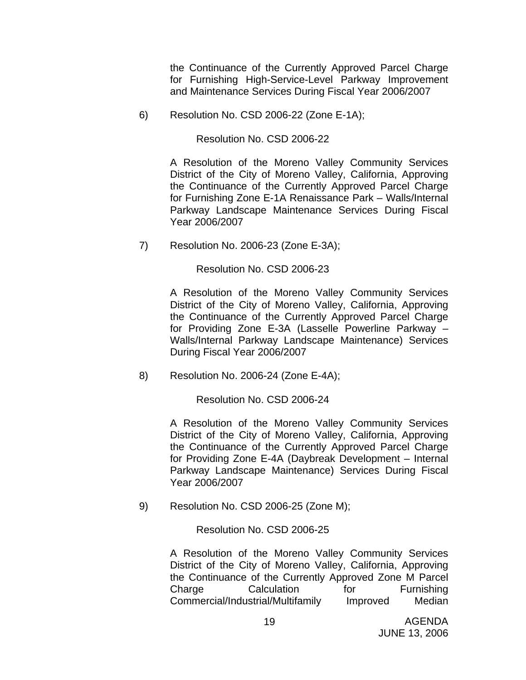the Continuance of the Currently Approved Parcel Charge for Furnishing High-Service-Level Parkway Improvement and Maintenance Services During Fiscal Year 2006/2007

6) Resolution No. CSD 2006-22 (Zone E-1A);

Resolution No. CSD 2006-22

A Resolution of the Moreno Valley Community Services District of the City of Moreno Valley, California, Approving the Continuance of the Currently Approved Parcel Charge for Furnishing Zone E-1A Renaissance Park – Walls/Internal Parkway Landscape Maintenance Services During Fiscal Year 2006/2007

7) Resolution No. 2006-23 (Zone E-3A);

Resolution No. CSD 2006-23

 A Resolution of the Moreno Valley Community Services District of the City of Moreno Valley, California, Approving the Continuance of the Currently Approved Parcel Charge for Providing Zone E-3A (Lasselle Powerline Parkway – Walls/Internal Parkway Landscape Maintenance) Services During Fiscal Year 2006/2007

8) Resolution No. 2006-24 (Zone E-4A);

Resolution No. CSD 2006-24

A Resolution of the Moreno Valley Community Services District of the City of Moreno Valley, California, Approving the Continuance of the Currently Approved Parcel Charge for Providing Zone E-4A (Daybreak Development – Internal Parkway Landscape Maintenance) Services During Fiscal Year 2006/2007

9) Resolution No. CSD 2006-25 (Zone M);

Resolution No. CSD 2006-25

A Resolution of the Moreno Valley Community Services District of the City of Moreno Valley, California, Approving the Continuance of the Currently Approved Zone M Parcel Charge Calculation for Furnishing Commercial/Industrial/Multifamily Improved Median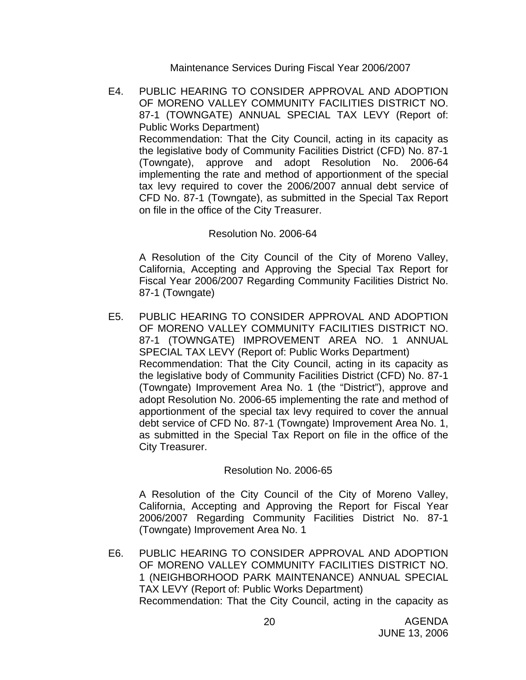Maintenance Services During Fiscal Year 2006/2007

E4. PUBLIC HEARING TO CONSIDER APPROVAL AND ADOPTION OF MORENO VALLEY COMMUNITY FACILITIES DISTRICT NO. 87-1 (TOWNGATE) ANNUAL SPECIAL TAX LEVY (Report of: Public Works Department) Recommendation: That the City Council, acting in its capacity as the legislative body of Community Facilities District (CFD) No. 87-1 (Towngate), approve and adopt Resolution No. 2006-64 implementing the rate and method of apportionment of the special tax levy required to cover the 2006/2007 annual debt service of CFD No. 87-1 (Towngate), as submitted in the Special Tax Report on file in the office of the City Treasurer.

## Resolution No. 2006-64

 A Resolution of the City Council of the City of Moreno Valley, California, Accepting and Approving the Special Tax Report for Fiscal Year 2006/2007 Regarding Community Facilities District No. 87-1 (Towngate)

E5. PUBLIC HEARING TO CONSIDER APPROVAL AND ADOPTION OF MORENO VALLEY COMMUNITY FACILITIES DISTRICT NO. 87-1 (TOWNGATE) IMPROVEMENT AREA NO. 1 ANNUAL SPECIAL TAX LEVY (Report of: Public Works Department) Recommendation: That the City Council, acting in its capacity as the legislative body of Community Facilities District (CFD) No. 87-1 (Towngate) Improvement Area No. 1 (the "District"), approve and adopt Resolution No. 2006-65 implementing the rate and method of apportionment of the special tax levy required to cover the annual debt service of CFD No. 87-1 (Towngate) Improvement Area No. 1, as submitted in the Special Tax Report on file in the office of the City Treasurer.

## Resolution No. 2006-65

 A Resolution of the City Council of the City of Moreno Valley, California, Accepting and Approving the Report for Fiscal Year 2006/2007 Regarding Community Facilities District No. 87-1 (Towngate) Improvement Area No. 1

E6. PUBLIC HEARING TO CONSIDER APPROVAL AND ADOPTION OF MORENO VALLEY COMMUNITY FACILITIES DISTRICT NO. 1 (NEIGHBORHOOD PARK MAINTENANCE) ANNUAL SPECIAL TAX LEVY (Report of: Public Works Department) Recommendation: That the City Council, acting in the capacity as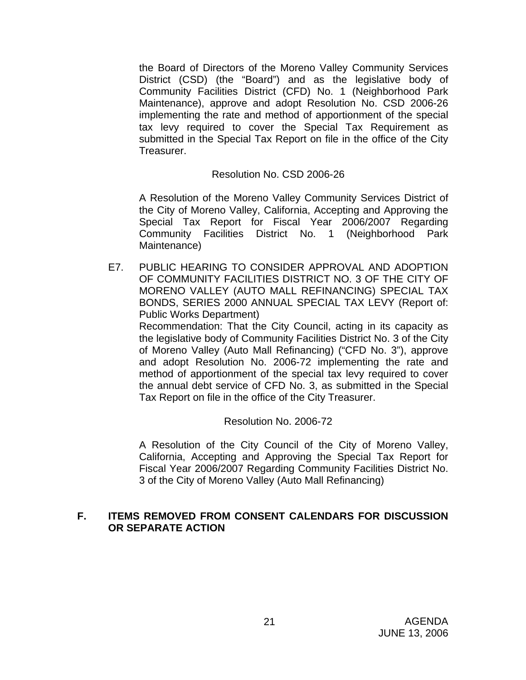the Board of Directors of the Moreno Valley Community Services District (CSD) (the "Board") and as the legislative body of Community Facilities District (CFD) No. 1 (Neighborhood Park Maintenance), approve and adopt Resolution No. CSD 2006-26 implementing the rate and method of apportionment of the special tax levy required to cover the Special Tax Requirement as submitted in the Special Tax Report on file in the office of the City Treasurer.

## Resolution No. CSD 2006-26

 A Resolution of the Moreno Valley Community Services District of the City of Moreno Valley, California, Accepting and Approving the Special Tax Report for Fiscal Year 2006/2007 Regarding Community Facilities District No. 1 (Neighborhood Park Maintenance)

E7. PUBLIC HEARING TO CONSIDER APPROVAL AND ADOPTION OF COMMUNITY FACILITIES DISTRICT NO. 3 OF THE CITY OF MORENO VALLEY (AUTO MALL REFINANCING) SPECIAL TAX BONDS, SERIES 2000 ANNUAL SPECIAL TAX LEVY (Report of: Public Works Department)

 Recommendation: That the City Council, acting in its capacity as the legislative body of Community Facilities District No. 3 of the City of Moreno Valley (Auto Mall Refinancing) ("CFD No. 3"), approve and adopt Resolution No. 2006-72 implementing the rate and method of apportionment of the special tax levy required to cover the annual debt service of CFD No. 3, as submitted in the Special Tax Report on file in the office of the City Treasurer.

## Resolution No. 2006-72

A Resolution of the City Council of the City of Moreno Valley, California, Accepting and Approving the Special Tax Report for Fiscal Year 2006/2007 Regarding Community Facilities District No. 3 of the City of Moreno Valley (Auto Mall Refinancing)

## **F. ITEMS REMOVED FROM CONSENT CALENDARS FOR DISCUSSION OR SEPARATE ACTION**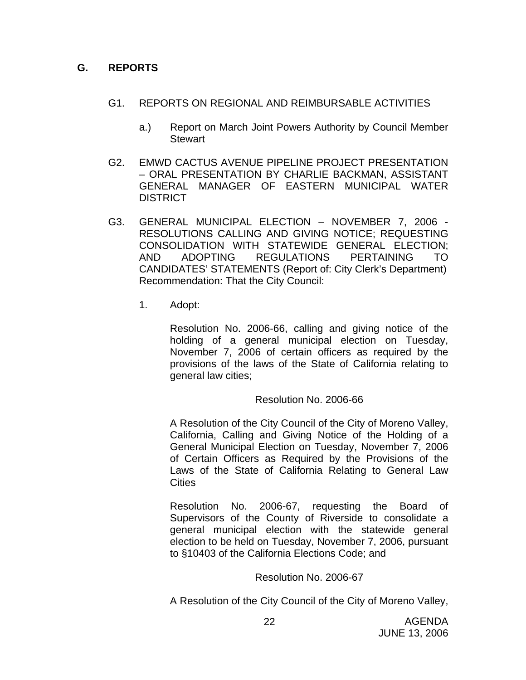## **G. REPORTS**

- G1. REPORTS ON REGIONAL AND REIMBURSABLE ACTIVITIES
	- a.) Report on March Joint Powers Authority by Council Member **Stewart**
- G2. EMWD CACTUS AVENUE PIPELINE PROJECT PRESENTATION – ORAL PRESENTATION BY CHARLIE BACKMAN, ASSISTANT GENERAL MANAGER OF EASTERN MUNICIPAL WATER **DISTRICT**
- G3. GENERAL MUNICIPAL ELECTION NOVEMBER 7, 2006 RESOLUTIONS CALLING AND GIVING NOTICE; REQUESTING CONSOLIDATION WITH STATEWIDE GENERAL ELECTION; AND ADOPTING REGULATIONS PERTAINING TO CANDIDATES' STATEMENTS (Report of: City Clerk's Department) Recommendation: That the City Council:
	- 1. Adopt:

Resolution No. 2006-66, calling and giving notice of the holding of a general municipal election on Tuesday, November 7, 2006 of certain officers as required by the provisions of the laws of the State of California relating to general law cities;

## Resolution No. 2006-66

A Resolution of the City Council of the City of Moreno Valley, California, Calling and Giving Notice of the Holding of a General Municipal Election on Tuesday, November 7, 2006 of Certain Officers as Required by the Provisions of the Laws of the State of California Relating to General Law **Cities** 

Resolution No. 2006-67, requesting the Board of Supervisors of the County of Riverside to consolidate a general municipal election with the statewide general election to be held on Tuesday, November 7, 2006, pursuant to §10403 of the California Elections Code; and

## Resolution No. 2006-67

A Resolution of the City Council of the City of Moreno Valley,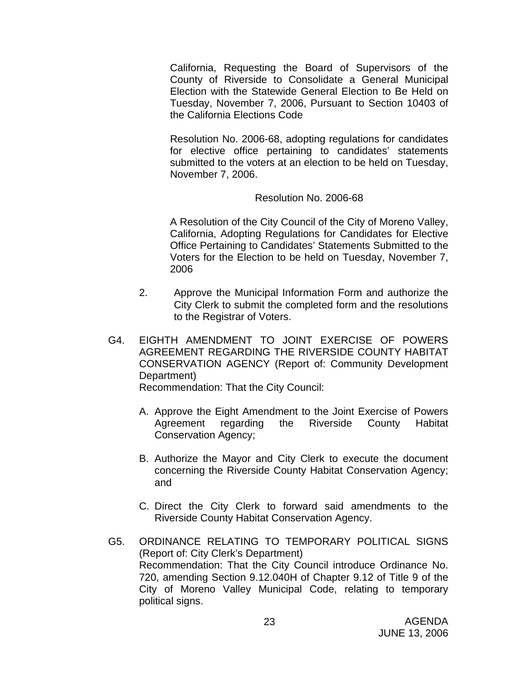California, Requesting the Board of Supervisors of the County of Riverside to Consolidate a General Municipal Election with the Statewide General Election to Be Held on Tuesday, November 7, 2006, Pursuant to Section 10403 of the California Elections Code

Resolution No. 2006-68, adopting regulations for candidates for elective office pertaining to candidates' statements submitted to the voters at an election to be held on Tuesday, November 7, 2006.

## Resolution No. 2006-68

A Resolution of the City Council of the City of Moreno Valley, California, Adopting Regulations for Candidates for Elective Office Pertaining to Candidates' Statements Submitted to the Voters for the Election to be held on Tuesday, November 7, 2006

- 2. Approve the Municipal Information Form and authorize the City Clerk to submit the completed form and the resolutions to the Registrar of Voters.
- G4. EIGHTH AMENDMENT TO JOINT EXERCISE OF POWERS AGREEMENT REGARDING THE RIVERSIDE COUNTY HABITAT CONSERVATION AGENCY (Report of: Community Development Department)

Recommendation: That the City Council:

- A. Approve the Eight Amendment to the Joint Exercise of Powers Agreement regarding the Riverside County Habitat Conservation Agency;
- B. Authorize the Mayor and City Clerk to execute the document concerning the Riverside County Habitat Conservation Agency; and
- C. Direct the City Clerk to forward said amendments to the Riverside County Habitat Conservation Agency.
- G5. ORDINANCE RELATING TO TEMPORARY POLITICAL SIGNS (Report of: City Clerk's Department) Recommendation: That the City Council introduce Ordinance No. 720, amending Section 9.12.040H of Chapter 9.12 of Title 9 of the City of Moreno Valley Municipal Code, relating to temporary political signs.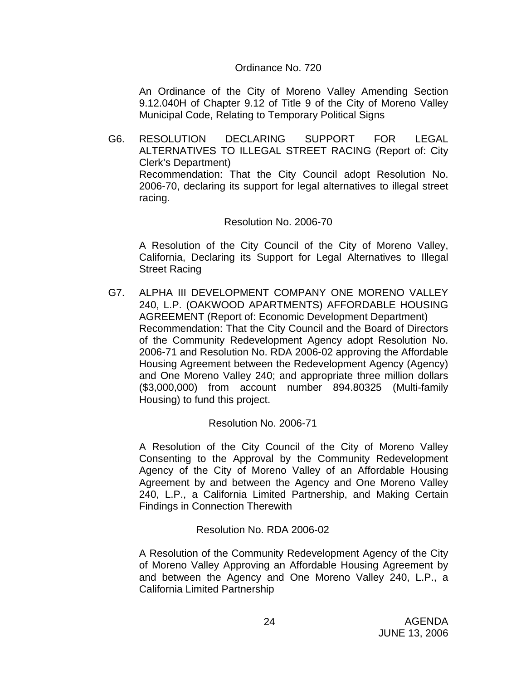#### Ordinance No. 720

 An Ordinance of the City of Moreno Valley Amending Section 9.12.040H of Chapter 9.12 of Title 9 of the City of Moreno Valley Municipal Code, Relating to Temporary Political Signs

G6. RESOLUTION DECLARING SUPPORT FOR LEGAL ALTERNATIVES TO ILLEGAL STREET RACING (Report of: City Clerk's Department) Recommendation: That the City Council adopt Resolution No. 2006-70, declaring its support for legal alternatives to illegal street racing.

#### Resolution No. 2006-70

 A Resolution of the City Council of the City of Moreno Valley, California, Declaring its Support for Legal Alternatives to Illegal Street Racing

G7. ALPHA III DEVELOPMENT COMPANY ONE MORENO VALLEY 240, L.P. (OAKWOOD APARTMENTS) AFFORDABLE HOUSING AGREEMENT (Report of: Economic Development Department) Recommendation: That the City Council and the Board of Directors of the Community Redevelopment Agency adopt Resolution No. 2006-71 and Resolution No. RDA 2006-02 approving the Affordable Housing Agreement between the Redevelopment Agency (Agency) and One Moreno Valley 240; and appropriate three million dollars (\$3,000,000) from account number 894.80325 (Multi-family Housing) to fund this project.

## Resolution No. 2006-71

 A Resolution of the City Council of the City of Moreno Valley Consenting to the Approval by the Community Redevelopment Agency of the City of Moreno Valley of an Affordable Housing Agreement by and between the Agency and One Moreno Valley 240, L.P., a California Limited Partnership, and Making Certain Findings in Connection Therewith

## Resolution No. RDA 2006-02

 A Resolution of the Community Redevelopment Agency of the City of Moreno Valley Approving an Affordable Housing Agreement by and between the Agency and One Moreno Valley 240, L.P., a California Limited Partnership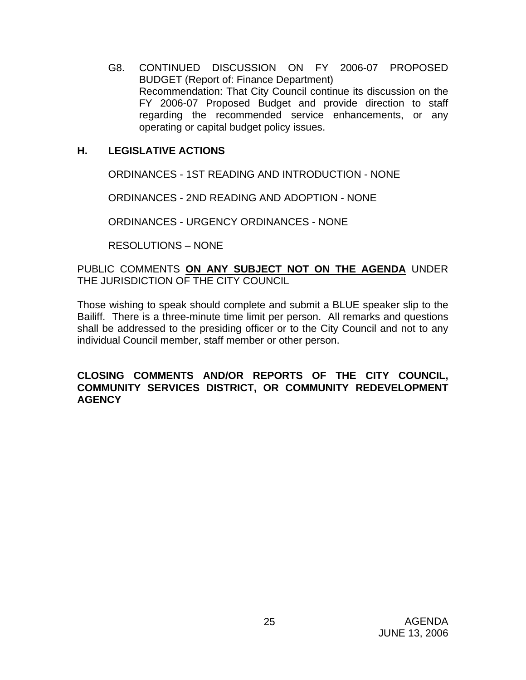G8. CONTINUED DISCUSSION ON FY 2006-07 PROPOSED BUDGET (Report of: Finance Department) Recommendation: That City Council continue its discussion on the FY 2006-07 Proposed Budget and provide direction to staff regarding the recommended service enhancements, or any operating or capital budget policy issues.

## **H. LEGISLATIVE ACTIONS**

ORDINANCES - 1ST READING AND INTRODUCTION - NONE

ORDINANCES - 2ND READING AND ADOPTION - NONE

ORDINANCES - URGENCY ORDINANCES - NONE

RESOLUTIONS – NONE

PUBLIC COMMENTS **ON ANY SUBJECT NOT ON THE AGENDA** UNDER THE JURISDICTION OF THE CITY COUNCIL

Those wishing to speak should complete and submit a BLUE speaker slip to the Bailiff. There is a three-minute time limit per person. All remarks and questions shall be addressed to the presiding officer or to the City Council and not to any individual Council member, staff member or other person.

## **CLOSING COMMENTS AND/OR REPORTS OF THE CITY COUNCIL, COMMUNITY SERVICES DISTRICT, OR COMMUNITY REDEVELOPMENT AGENCY**